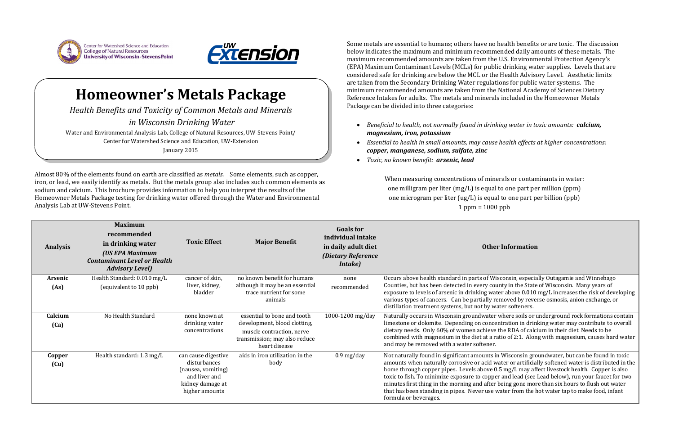



## **Homeowner's Metals Package**

*Health Benefits and Toxicity of Common Metals and Minerals in Wisconsin Drinking Water*

Water and Environmental Analysis Lab, College of Natural Resources, UW-Stevens Point/ Center for Watershed Science and Education, UW-Extension January 2015

Almost 80% of the elements found on earth are classified as *metals.* Some elements, such as copper, iron, or lead, we easily identify as metals. But the metals group also includes such common elements as sodium and calcium. This brochure provides information to help you interpret the results of the Homeowner Metals Package testing for drinking water offered through the Water and Environmental Analysis Lab at UW-Stevens Point.

When measuring concentrations of minerals or contaminants in water: one milligram per liter (mg/L) is equal to one part per million (ppm) one microgram per liter (ug/L) is equal to one part per billion (ppb)  $1$  ppm =  $1000$  ppb

Some metals are essential to humans; others have no health benefits or are toxic. The discussion below indicates the maximum and minimum recommended daily amounts of these metals. The maximum recommended amounts are taken from the U.S. Environmental Protection Agency's (EPA) Maximum Contaminant Levels (MCLs) for public drinking water supplies. Levels that are considered safe for drinking are below the MCL or the Health Advisory Level. Aesthetic limits are taken from the Secondary Drinking Water regulations for public water systems. The minimum recommended amounts are taken from the National Academy of Sciences Dietary Reference Intakes for adults. The metals and minerals included in the Homeowner Metals Package can be divided into three categories:

- *Beneficial to health, not normally found in drinking water in toxic amounts: calcium, magnesium, iron, potassium*
- *Essential to health in small amounts, may cause health effects at higher concentrations: copper, manganese, sodium, sulfate, zinc*
- *Toxic, no known benefit: arsenic, lead*

## **Other Information**

Visconsin, especially Outagamie and Winnebago bunty in the State of Wisconsin. Many years of ater above 0.010 mg/L increases the risk of developing removed by reverse osmosis, anion exchange, or water softeners.

In the 1000-1200 mg/day natural merground rock formations contain entration in drinking water may contribute to overall e the RDA of calcium in their diet. Needs to be ratio of 2:1. Along with magnesium, causes hard water

in Wisconsin groundwater, but can be found in toxic water or artificially softened water is distributed in the 0.5 mg/L may affect livestock health. Copper is also ther and lead (see Lead below), run your faucet for two r being gone more than six hours to flush out water water from the hot water tap to make food, infant

| <b>Analysis</b> | <b>Maximum</b><br>recommended<br>in drinking water<br>(US EPA Maximum<br><b>Contaminant Level or Health</b><br><b>Advisory Level)</b> | <b>Toxic Effect</b>                                                                                              | <b>Major Benefit</b>                                                                                                                       | <b>Goals for</b><br>individual intake<br>in daily adult diet<br>(Dietary Reference<br><i>Intake</i> ) | <b>Othe</b>                                                                                                                                                                                                                                                                                                    |
|-----------------|---------------------------------------------------------------------------------------------------------------------------------------|------------------------------------------------------------------------------------------------------------------|--------------------------------------------------------------------------------------------------------------------------------------------|-------------------------------------------------------------------------------------------------------|----------------------------------------------------------------------------------------------------------------------------------------------------------------------------------------------------------------------------------------------------------------------------------------------------------------|
| Arsenic<br>(As) | Health Standard: 0.010 mg/L<br>(equivalent to 10 ppb)                                                                                 | cancer of skin,<br>liver, kidney,<br>bladder                                                                     | no known benefit for humans<br>although it may be an essential<br>trace nutrient for some<br>animals                                       | none<br>recommended                                                                                   | Occurs above health standard in parts of W<br>Counties, but has been detected in every co<br>exposure to levels of arsenic in drinking wa<br>various types of cancers. Can be partially r<br>distillation treatment systems, but not by w                                                                      |
| Calcium<br>(Ca) | No Health Standard                                                                                                                    | none known at<br>drinking water<br>concentrations                                                                | essential to bone and tooth<br>development, blood clotting,<br>muscle contraction, nerve<br>transmission; may also reduce<br>heart disease | 1000-1200 mg/day                                                                                      | Naturally occurs in Wisconsin groundwater<br>limestone or dolomite. Depending on conce<br>dietary needs. Only 60% of women achieve<br>combined with magnesium in the diet at a r<br>and may be removed with a water softener.                                                                                  |
| Copper<br>(Cu)  | Health standard: 1.3 mg/L                                                                                                             | can cause digestive<br>disturbances<br>(nausea, vomiting)<br>and liver and<br>kidney damage at<br>higher amounts | aids in iron utilization in the<br>body                                                                                                    | $0.9 \,\mathrm{mg/day}$                                                                               | Not naturally found in significant amounts i<br>amounts when naturally corrosive or acid v<br>home through copper pipes. Levels above (<br>toxic to fish. To minimize exposure to coppe<br>minutes first thing in the morning and after<br>that has been standing in pipes. Never use<br>formula or beverages. |